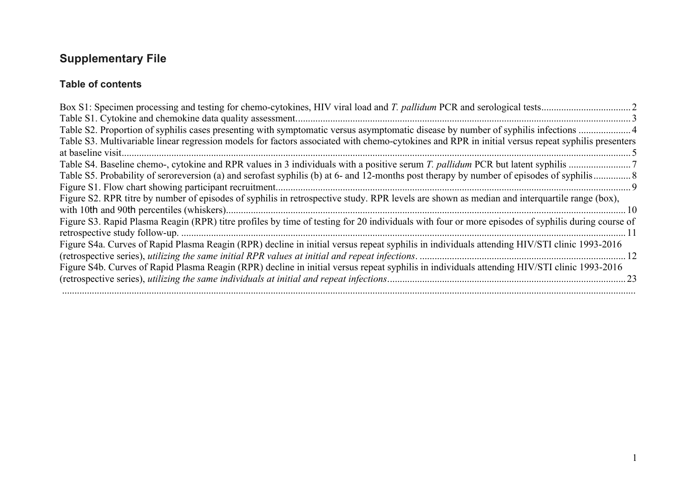## **Supplementary File**

#### **Table of contents**

| Table S3. Multivariable linear regression models for factors associated with chemo-cytokines and RPR in initial versus repeat syphilis presenters |  |
|---------------------------------------------------------------------------------------------------------------------------------------------------|--|
|                                                                                                                                                   |  |
|                                                                                                                                                   |  |
|                                                                                                                                                   |  |
|                                                                                                                                                   |  |
| Figure S2. RPR titre by number of episodes of syphilis in retrospective study. RPR levels are shown as median and interquartile range (box),      |  |
| $\sim$ 10                                                                                                                                         |  |
| Figure S3. Rapid Plasma Reagin (RPR) titre profiles by time of testing for 20 individuals with four or more episodes of syphilis during course of |  |
|                                                                                                                                                   |  |
| Figure S4a. Curves of Rapid Plasma Reagin (RPR) decline in initial versus repeat syphilis in individuals attending HIV/STI clinic 1993-2016       |  |
|                                                                                                                                                   |  |
| Figure S4b. Curves of Rapid Plasma Reagin (RPR) decline in initial versus repeat syphilis in individuals attending HIV/STI clinic 1993-2016       |  |
|                                                                                                                                                   |  |
|                                                                                                                                                   |  |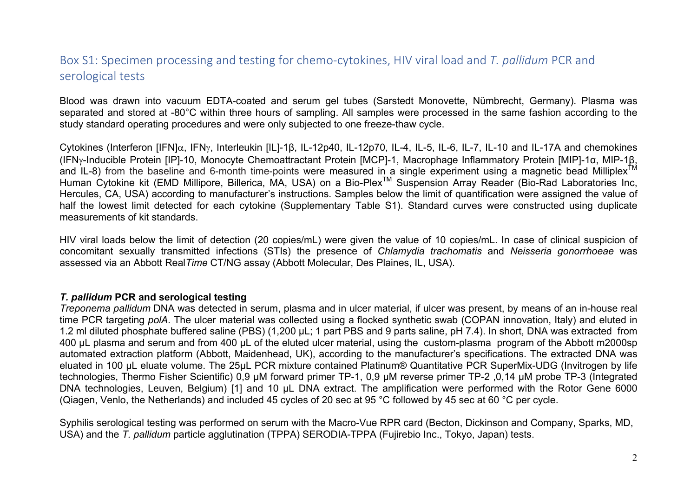### Box S1: Specimen processing and testing for chemo-cytokines, HIV viral load and T. pallidum PCR and serological tests

Blood was drawn into vacuum EDTA-coated and serum gel tubes (Sarstedt Monovette, Nümbrecht, Germany). Plasma was separated and stored at -80°C within three hours of sampling. All samples were processed in the same fashion according to the study standard operating procedures and were only subjected to one freeze-thaw cycle.

Cytokines (Interferon [IFN]α, IFNγ, Interleukin [IL]-1β, IL-12p40, IL-12p70, IL-4, IL-5, IL-6, IL-7, IL-10 and IL-17A and chemokines (IFNg-Inducible Protein [IP]-10, Monocyte Chemoattractant Protein [MCP]-1, Macrophage Inflammatory Protein [MIP]-1α, MIP-1β, and IL-8) from the baseline and 6-month time-points were measured in a single experiment using a magnetic bead Milliplex<sup>Ti</sup> Human Cytokine kit (EMD Millipore, Billerica, MA, USA) on a Bio-Plex™ Suspension Array Reader (Bio-Rad Laboratories Inc, Hercules, CA, USA) according to manufacturer's instructions. Samples below the limit of quantification were assigned the value of half the lowest limit detected for each cytokine (Supplementary Table S1). Standard curves were constructed using duplicate measurements of kit standards.

HIV viral loads below the limit of detection (20 copies/mL) were given the value of 10 copies/mL. In case of clinical suspicion of concomitant sexually transmitted infections (STIs) the presence of *Chlamydia trachomatis* and *Neisseria gonorrhoeae* was assessed via an Abbott Real*Time* CT/NG assay (Abbott Molecular, Des Plaines, IL, USA).

#### *T. pallidum* **PCR and serological testing**

*Treponema pallidum* DNA was detected in serum, plasma and in ulcer material, if ulcer was present, by means of an in-house real time PCR targeting *polA*. The ulcer material was collected using a flocked synthetic swab (COPAN innovation, Italy) and eluted in 1.2 ml diluted phosphate buffered saline (PBS) (1,200 μL; 1 part PBS and 9 parts saline, pH 7.4). In short, DNA was extracted from 400 µL plasma and serum and from 400 µL of the eluted ulcer material, using the custom-plasma program of the Abbott m2000sp automated extraction platform (Abbott, Maidenhead, UK), according to the manufacturer's specifications. The extracted DNA was eluated in 100 µL eluate volume. The 25µL PCR mixture contained Platinum® Quantitative PCR SuperMix-UDG (Invitrogen by life technologies, Thermo Fisher Scientific) 0,9 µM forward primer TP-1, 0,9 µM reverse primer TP-2 ,0,14 µM probe TP-3 (Integrated DNA technologies, Leuven, Belgium) [1] and 10 µL DNA extract. The amplification were performed with the Rotor Gene 6000 (Qiagen, Venlo, the Netherlands) and included 45 cycles of 20 sec at 95 °C followed by 45 sec at 60 °C per cycle.

Syphilis serological testing was performed on serum with the Macro-Vue RPR card (Becton, Dickinson and Company, Sparks, MD, USA) and the *T. pallidum* particle agglutination (TPPA) SERODIA-TPPA (Fujirebio Inc., Tokyo, Japan) tests.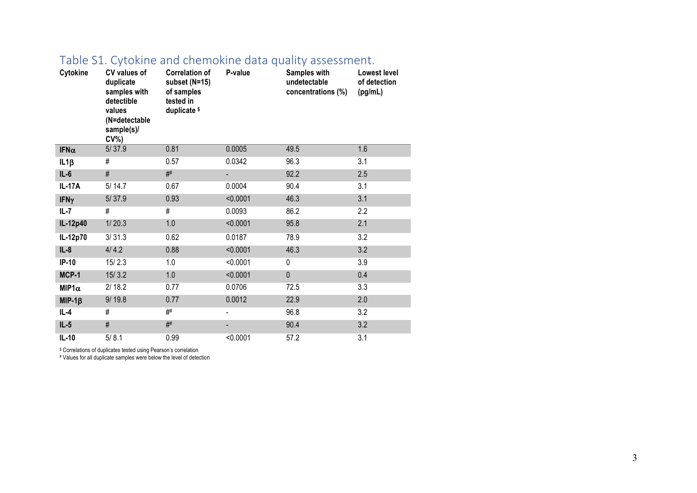| Cytokine      | CV values of<br>duplicate<br>samples with<br>detectible<br>values<br>(N=detectable<br>sample(s)/<br>$CV\%$ | <b>Correlation of</b><br>subset (N=15)<br>of samples<br>tested in<br>duplicate \$ | P-value        | Samples with<br>undetectable<br>concentrations (%) | Lowest level<br>of detection<br>(pg/mL) |
|---------------|------------------------------------------------------------------------------------------------------------|-----------------------------------------------------------------------------------|----------------|----------------------------------------------------|-----------------------------------------|
| IFN $\alpha$  | 5/37.9                                                                                                     | 0.81                                                                              | 0.0005         | 49.5                                               | 1.6                                     |
| $IL1\beta$    | #                                                                                                          | 0.57                                                                              | 0.0342         | 96.3                                               | 3.1                                     |
| $IL-6$        | #                                                                                                          | #                                                                                 | $\blacksquare$ | 92.2                                               | 2.5                                     |
| <b>IL-17A</b> | 5/14.7                                                                                                     | 0.67                                                                              | 0.0004         | 90.4                                               | 3.1                                     |
| <b>IFNy</b>   | 5/37.9                                                                                                     | 0.93                                                                              | < 0.0001       | 46.3                                               | 3.1                                     |
| IL-7          | #                                                                                                          | #                                                                                 | 0.0093         | 86.2                                               | 2.2                                     |
| IL-12p40      | 1/20.3                                                                                                     | 1.0                                                                               | < 0.0001       | 95.8                                               | 2.1                                     |
| IL-12p70      | 3/31.3                                                                                                     | 0.62                                                                              | 0.0187         | 78.9                                               | 3.2                                     |
| $IL-8$        | 4/4.2                                                                                                      | 0.88                                                                              | < 0.0001       | 46.3                                               | 3.2                                     |
| $IP-10$       | 15/2.3                                                                                                     | 1.0                                                                               | < 0.0001       | 0                                                  | 3.9                                     |
| MCP-1         | 15/3.2                                                                                                     | 1.0                                                                               | < 0.0001       | $\overline{0}$                                     | 0.4                                     |
| $MIP1\alpha$  | 2/18.2                                                                                                     | 0.77                                                                              | 0.0706         | 72.5                                               | 3.3                                     |
| $MIP-1\beta$  | 9/19.8                                                                                                     | 0.77                                                                              | 0.0012         | 22.9                                               | 2.0                                     |
| IL-4          | #                                                                                                          | #                                                                                 | $\blacksquare$ | 96.8                                               | 3.2                                     |
| $IL-5$        | $\#$                                                                                                       | #                                                                                 | -              | 90.4                                               | 3.2                                     |
| $IL-10$       | 5/8.1                                                                                                      | 0.99                                                                              | < 0.0001       | 57.2                                               | 3.1                                     |

#### Table S1. Cytokine and chemokine data quality assessment.

\$ Correlations of duplicates tested using Pearson's correlation

# Values for all duplicate samples were below the level of detection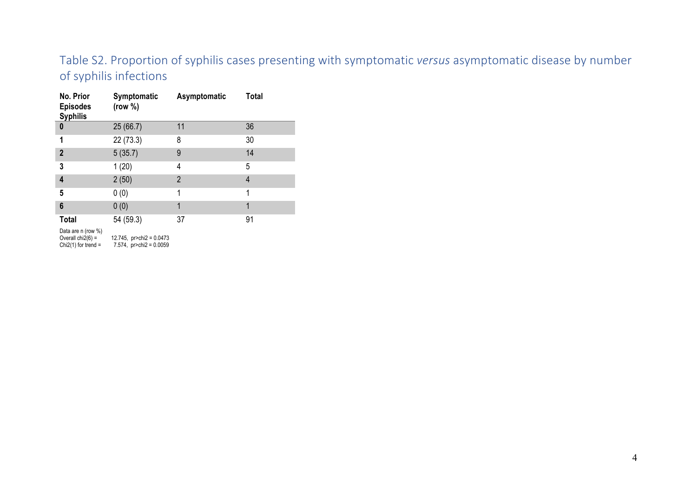### Table S2. Proportion of syphilis cases presenting with symptomatic *versus* asymptomatic disease by number of syphilis infections

| No. Prior<br><b>Episodes</b><br><b>Syphilis</b>                  | Symptomatic<br>(row %)                                      | Asymptomatic | <b>Total</b>   |
|------------------------------------------------------------------|-------------------------------------------------------------|--------------|----------------|
| 0                                                                | 25(66.7)                                                    | 11           | 36             |
| 1                                                                | 22 (73.3)                                                   | 8            | 30             |
| $\overline{2}$                                                   | 5(35.7)                                                     | 9            | 14             |
| 3                                                                | 1(20)                                                       | 4            | 5              |
| 4                                                                | 2(50)                                                       | 2            | $\overline{4}$ |
| 5                                                                | 0(0)                                                        | 1            | 1              |
| 6                                                                | 0(0)                                                        | 1            | 1              |
| <b>Total</b>                                                     | 54 (59.3)                                                   | 37           | 91             |
| Data are n (row %)<br>Overall $chi2(6)$ =<br>Chi2(1) for trend = | 12.745, $pr > chi2 = 0.0473$<br>7.574, $pr > chi2 = 0.0059$ |              |                |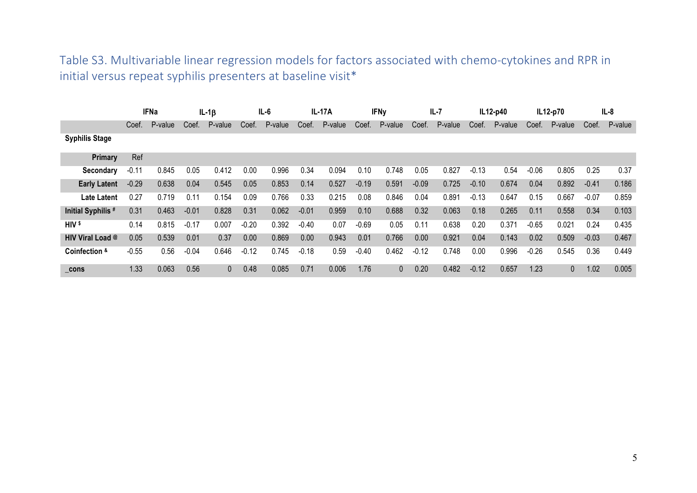Table S3. Multivariable linear regression models for factors associated with chemo-cytokines and RPR in initial versus repeat syphilis presenters at baseline visit\*

|                       | <b>IFNa</b> |         |         | $IL-1\beta$ |         | IL-6    |         | <b>IL-17A</b> | <b>IFNy</b> |              | $IL-7$  |         | $IL12-p40$ |         | IL12-p70 |              |         | $IL-8$  |
|-----------------------|-------------|---------|---------|-------------|---------|---------|---------|---------------|-------------|--------------|---------|---------|------------|---------|----------|--------------|---------|---------|
|                       | Coef.       | P-value | Coef.   | P-value     | Coef.   | P-value | Coef.   | P-value       | Coef.       | P-value      | Coef.   | P-value | Coef.      | P-value | Coef.    | P-value      | Coef.   | P-value |
| <b>Syphilis Stage</b> |             |         |         |             |         |         |         |               |             |              |         |         |            |         |          |              |         |         |
| Primary               | Ref         |         |         |             |         |         |         |               |             |              |         |         |            |         |          |              |         |         |
| <b>Secondary</b>      | $-0.11$     | 0.845   | 0.05    | 0.412       | 0.00    | 0.996   | 0.34    | 0.094         | 0.10        | 0.748        | 0.05    | 0.827   | $-0.13$    | 0.54    | $-0.06$  | 0.805        | 0.25    | 0.37    |
| <b>Early Latent</b>   | $-0.29$     | 0.638   | 0.04    | 0.545       | 0.05    | 0.853   | 0.14    | 0.527         | $-0.19$     | 0.591        | $-0.09$ | 0.725   | $-0.10$    | 0.674   | 0.04     | 0.892        | $-0.41$ | 0.186   |
| <b>Late Latent</b>    | 0.27        | 0.719   | 0.11    | 0.154       | 0.09    | 0.766   | 0.33    | 0.215         | 0.08        | 0.846        | 0.04    | 0.891   | $-0.13$    | 0.647   | 0.15     | 0.667        | $-0.07$ | 0.859   |
| Initial Syphilis #    | 0.31        | 0.463   | $-0.01$ | 0.828       | 0.31    | 0.062   | $-0.01$ | 0.959         | 0.10        | 0.688        | 0.32    | 0.063   | 0.18       | 0.265   | 0.11     | 0.558        | 0.34    | 0.103   |
| HIV \$                | 0.14        | 0.815   | $-0.17$ | 0.007       | $-0.20$ | 0.392   | $-0.40$ | 0.07          | $-0.69$     | 0.05         | 0.11    | 0.638   | 0.20       | 0.371   | $-0.65$  | 0.021        | 0.24    | 0.435   |
| HIV Viral Load @      | 0.05        | 0.539   | 0.01    | 0.37        | 0.00    | 0.869   | 0.00    | 0.943         | 0.01        | 0.766        | 0.00    | 0.921   | 0.04       | 0.143   | 0.02     | 0.509        | $-0.03$ | 0.467   |
| Coinfection &         | $-0.55$     | 0.56    | $-0.04$ | 0.646       | $-0.12$ | 0.745   | $-0.18$ | 0.59          | $-0.40$     | 0.462        | $-0.12$ | 0.748   | 0.00       | 0.996   | $-0.26$  | 0.545        | 0.36    | 0.449   |
| cons                  | 1.33        | 0.063   | 0.56    | 0           | 0.48    | 0.085   | 0.71    | 0.006         | 1.76        | $\mathbf{0}$ | 0.20    | 0.482   | $-0.12$    | 0.657   | 1.23     | $\mathbf{0}$ | 1.02    | 0.005   |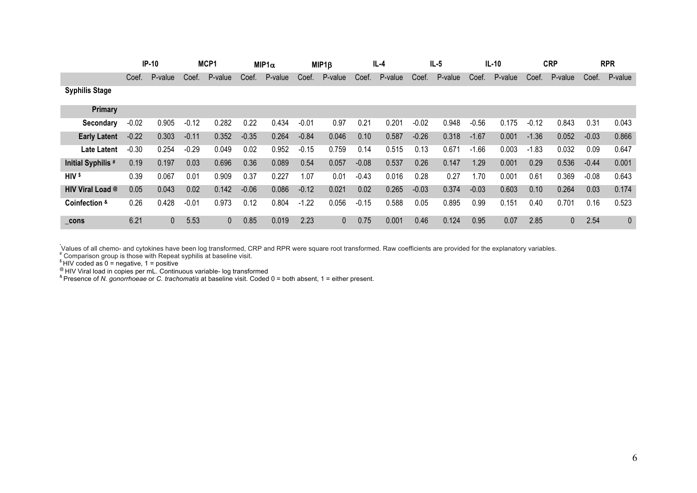|                         | <b>IP-10</b> |              | MCP1<br>$MIP1\alpha$ |         | MIP1B   | IL-4    |         | $IL-5$  |         | IL-10   |         | <b>CRP</b> |         | <b>RPR</b> |         |              |         |         |
|-------------------------|--------------|--------------|----------------------|---------|---------|---------|---------|---------|---------|---------|---------|------------|---------|------------|---------|--------------|---------|---------|
|                         | Coef.        | P-value      | Coef.                | P-value | Coef.   | P-value | Coef.   | P-value | Coef.   | P-value | Coef.   | P-value    | Coef.   | P-value    | Coef.   | P-value      | Coef.   | P-value |
| <b>Syphilis Stage</b>   |              |              |                      |         |         |         |         |         |         |         |         |            |         |            |         |              |         |         |
| Primary                 |              |              |                      |         |         |         |         |         |         |         |         |            |         |            |         |              |         |         |
| Secondary               | $-0.02$      | 0.905        | $-0.12$              | 0.282   | 0.22    | 0.434   | $-0.01$ | 0.97    | 0.21    | 0.201   | $-0.02$ | 0.948      | $-0.56$ | 0.175      | $-0.12$ | 0.843        | 0.31    | 0.043   |
| <b>Early Latent</b>     | $-0.22$      | 0.303        | $-0.11$              | 0.352   | $-0.35$ | 0.264   | $-0.84$ | 0.046   | 0.10    | 0.587   | $-0.26$ | 0.318      | $-1.67$ | 0.001      | $-1.36$ | 0.052        | $-0.03$ | 0.866   |
| <b>Late Latent</b>      | $-0.30$      | 0.254        | $-0.29$              | 0.049   | 0.02    | 0.952   | $-0.15$ | 0.759   | 0.14    | 0.515   | 0.13    | 0.671      | $-1.66$ | 0.003      | $-1.83$ | 0.032        | 0.09    | 0.647   |
| Initial Syphilis #      | 0.19         | 0.197        | 0.03                 | 0.696   | 0.36    | 0.089   | 0.54    | 0.057   | $-0.08$ | 0.537   | 0.26    | 0.147      | 1.29    | 0.001      | 0.29    | 0.536        | $-0.44$ | 0.001   |
| $HIV$ \$                | 0.39         | 0.067        | 0.01                 | 0.909   | 0.37    | 0.227   | 1.07    | 0.01    | $-0.43$ | 0.016   | 0.28    | 0.27       | 1.70    | 0.001      | 0.61    | 0.369        | $-0.08$ | 0.643   |
| <b>HIV Viral Load @</b> | 0.05         | 0.043        | 0.02                 | 0.142   | $-0.06$ | 0.086   | $-0.12$ | 0.021   | 0.02    | 0.265   | $-0.03$ | 0.374      | $-0.03$ | 0.603      | 0.10    | 0.264        | 0.03    | 0.174   |
| Coinfection &           | 0.26         | 0.428        | $-0.01$              | 0.973   | 0.12    | 0.804   | $-1.22$ | 0.056   | $-0.15$ | 0.588   | 0.05    | 0.895      | 0.99    | 0.151      | 0.40    | 0.701        | 0.16    | 0.523   |
| cons                    | 6.21         | $\mathbf{0}$ | 5.53                 | 0       | 0.85    | 0.019   | 2.23    | 0       | 0.75    | 0.001   | 0.46    | 0.124      | 0.95    | 0.07       | 2.85    | $\mathbf{0}$ | 2.54    | 0       |

.<br>`Values of all chemo- and cytokines have been log transformed, CRP and RPR were square root transformed. Raw coefficients are provided for the explanatory variables.<br><sup>#</sup> Comparison group is those with Repeat syphilis at

 $$HHV$  coded as  $0 =$  negative, 1 = positive

<sup>@</sup> HIV Viral load in copies per mL. Continuous variable- log transformed<br><sup>&</sup> Presence of *N. gonorrhoeae* or *C. trachomatis* at baseline visit. Coded 0 = both absent, 1 = either present.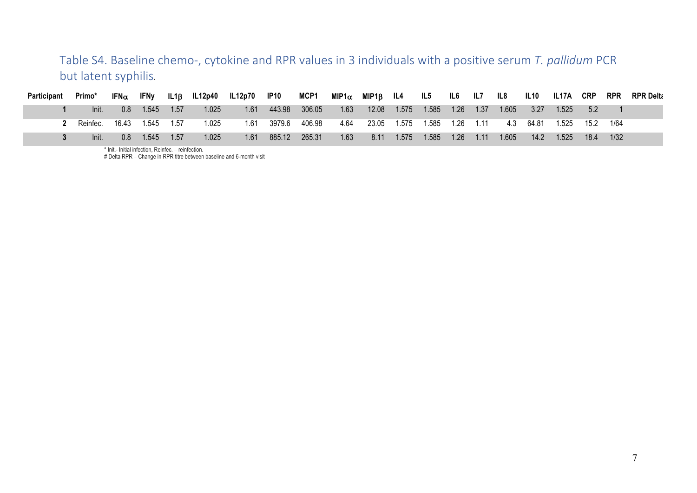Table S4. Baseline chemo-, cytokine and RPR values in 3 individuals with a positive serum T. pallidum PCR but latent syphilis.

| Participant | Primo*   | IFN $\alpha$ | <b>IFNy</b> | IL1B | <b>IL12p40</b> | <b>IL12p70</b> | IP <sub>10</sub> | <b>MCP1</b> | MIP1 $\alpha$ | MIP1B | IL4   | IL5   | IL6  | IL7  | IL8   | IL10  | IL <sub>17</sub> A | <b>CRP</b> | <b>RPR</b> | <b>RPR Delta</b> |
|-------------|----------|--------------|-------------|------|----------------|----------------|------------------|-------------|---------------|-------|-------|-------|------|------|-------|-------|--------------------|------------|------------|------------------|
|             | Init.    | 0.8          | 1.545       | 1.57 | 1.025          | 1.61           | 443.98           | 306.05      | 1.63          | 12.08 | 1.575 | 1.585 | 1.26 | 1.37 | 1.605 | 3.27  | 1.525              | 5.2        |            |                  |
|             | Reinfec. | 16.43        | 1.545       | 1.57 | 1.025          | 1.61           | 3979.6           | 406.98      | 4.64          | 23.05 | 1.575 | 1.585 | 1.26 | 1.11 | 4.3   | 64.81 | 1.525              | 152        | 1/64       |                  |
|             | Init.    | 0.8          | .545        | 1.57 | 1.025          | 1.61           | 885.12           | 265.31      | 1.63          | 8.11  | 1.575 | 1.585 | 1.26 | 1.11 | 1.605 | 14.2  | 1.525              | 18.4       | 1/32       |                  |

\* Init.- Initial infection, Reinfec. – reinfection.

# Delta RPR – Change in RPR titre between baseline and 6-month visit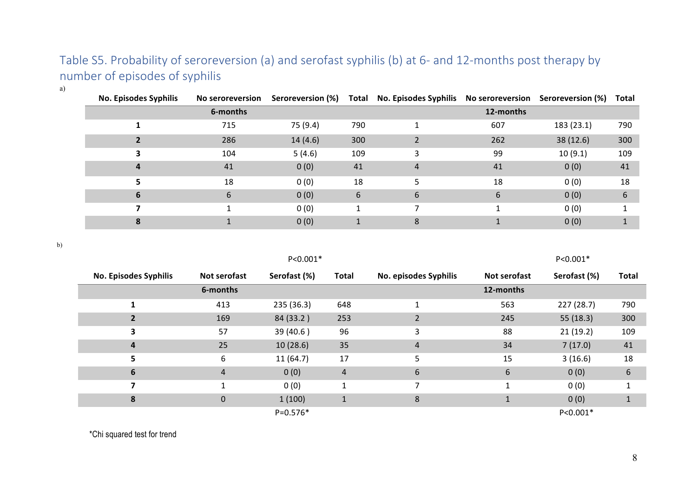## Table S5. Probability of seroreversion (a) and serofast syphilis (b) at 6- and 12-months post therapy by number of episodes of syphilis

| ×<br>v<br>I<br>I |  |
|------------------|--|

| <b>No. Episodes Syphilis</b> | <b>No seroreversion</b> | Seroreversion (%) |     | Total No. Episodes Syphilis No seroreversion Seroreversion (%) |           |            | <b>Total</b> |
|------------------------------|-------------------------|-------------------|-----|----------------------------------------------------------------|-----------|------------|--------------|
|                              | 6-months                |                   |     |                                                                | 12-months |            |              |
|                              | 715                     | 75 (9.4)          | 790 |                                                                | 607       | 183 (23.1) | 790          |
|                              | 286                     | 14(4.6)           | 300 |                                                                | 262       | 38(12.6)   | 300          |
|                              | 104                     | 5(4.6)            | 109 |                                                                | 99        | 10(9.1)    | 109          |
|                              | 41                      | 0(0)              | 41  | $\overline{4}$                                                 | 41        | 0(0)       | 41           |
|                              | 18                      | 0(0)              | 18  |                                                                | 18        | 0(0)       | 18           |
| 6                            | 6                       | 0(0)              | 6   | 6                                                              | 6         | 0(0)       | 6            |
|                              |                         | 0(0)              |     |                                                                |           | 0(0)       |              |
|                              |                         | 0(0)              |     | 8                                                              |           | 0(0)       |              |

b)

|                              |              | $P < 0.001*$ |              |                       |              | $P < 0.001*$ |              |
|------------------------------|--------------|--------------|--------------|-----------------------|--------------|--------------|--------------|
| <b>No. Episodes Syphilis</b> | Not serofast | Serofast (%) | <b>Total</b> | No. episodes Syphilis | Not serofast | Serofast (%) | <b>Total</b> |
|                              | 6-months     |              |              |                       | 12-months    |              |              |
|                              | 413          | 235 (36.3)   | 648          |                       | 563          | 227(28.7)    | 790          |
|                              | 169          | 84 (33.2)    | 253          | $\overline{2}$        | 245          | 55(18.3)     | 300          |
| 3                            | 57           | 39 (40.6)    | 96           | 3                     | 88           | 21(19.2)     | 109          |
| $\overline{a}$               | 25           | 10(28.6)     | 35           | 4                     | 34           | 7(17.0)      | 41           |
| 5                            | 6            | 11(64.7)     | 17           | 5                     | 15           | 3(16.6)      | 18           |
| 6                            | 4            | 0(0)         | 4            | $\boldsymbol{6}$      | 6            | 0(0)         | 6            |
| 7                            |              | 0(0)         |              | 7                     | 1            | 0(0)         |              |
| 8                            | $\mathbf{0}$ | 1(100)       |              | 8                     |              | 0(0)         | 1            |
|                              |              | $P=0.576*$   |              |                       |              | $P < 0.001*$ |              |

\*Chi squared test for trend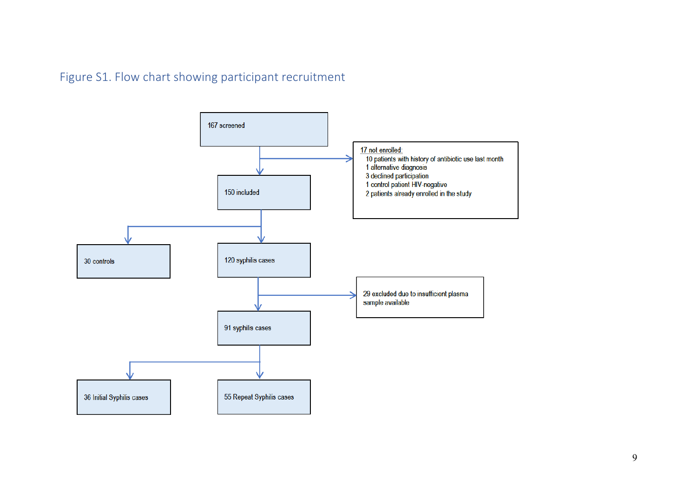Figure S1. Flow chart showing participant recruitment

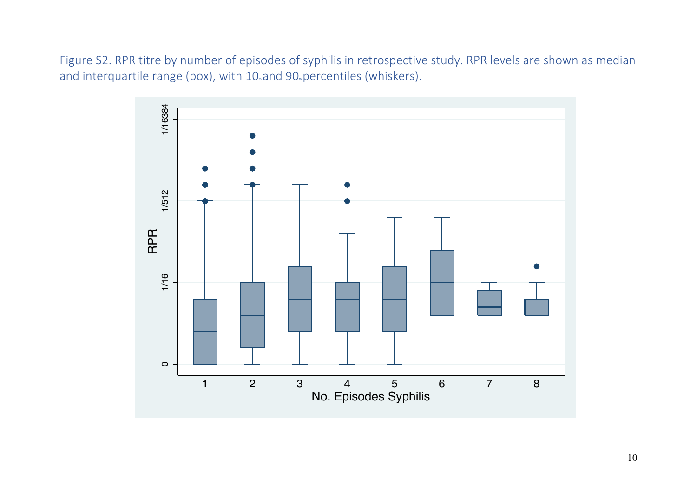Figure S2. RPR titre by number of episodes of syphilis in retrospective study. RPR levels are shown as median and interquartile range (box), with 10<sub>n</sub> and 90<sub>n</sub> percentiles (whiskers).

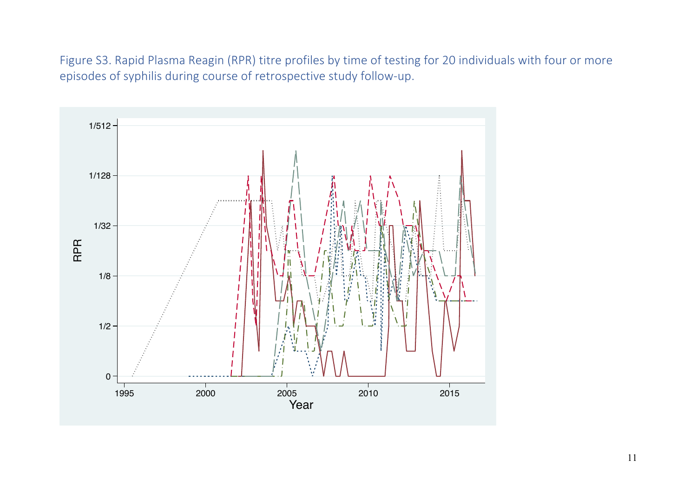Figure S3. Rapid Plasma Reagin (RPR) titre profiles by time of testing for 20 individuals with four or more episodes of syphilis during course of retrospective study follow-up.

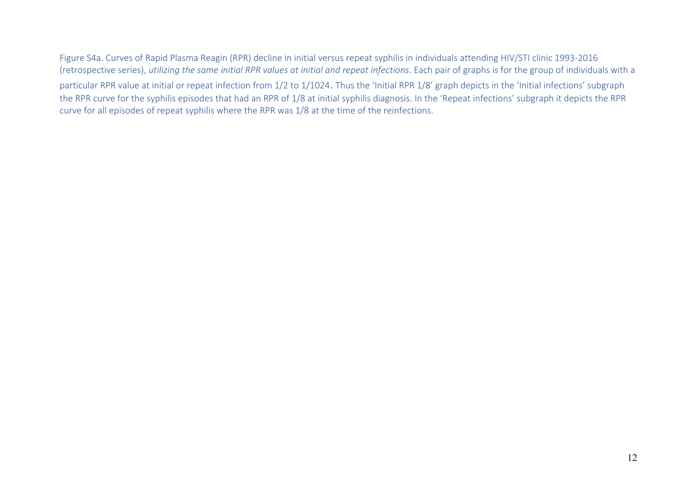# Figure S4a. Curves of Rapid Plasma Reagin (RPR) decline in initial versus repeat syphilis in individuals attending HIV/STI clinic 1993-2016 (retrospective series), *utilizing the same initial RPR values at initial and repeat infections*. Each pair of graphs is for the group of individuals with a

particular RPR value at initial or repeat infection from 1/2 to 1/1024. Thus the 'Initial RPR 1/8' graph depicts in the 'Initial infections' subgraph the RPR curve for the syphilis episodes that had an RPR of 1/8 at initial syphilis diagnosis. In the 'Repeat infections' subgraph it depicts the RPR curve for all episodes of repeat syphilis where the RPR was 1/8 at the time of the reinfections.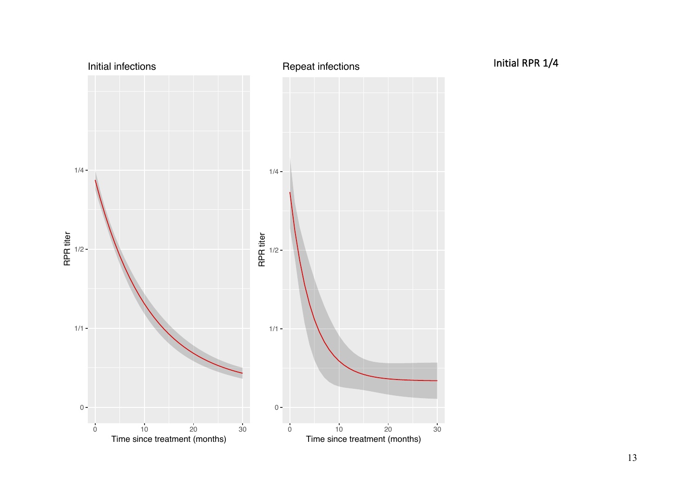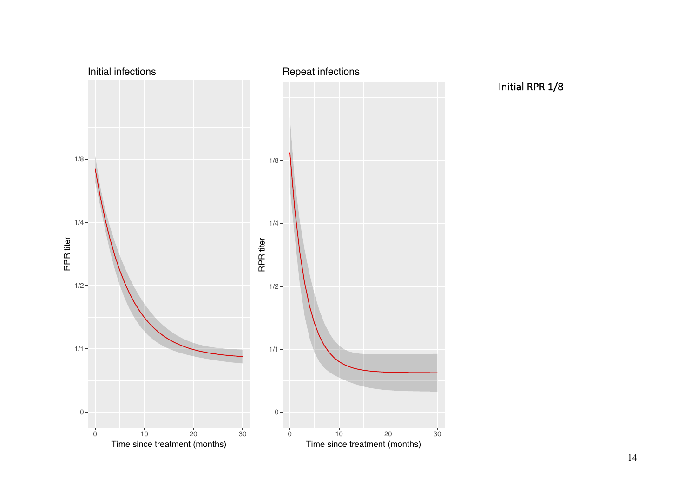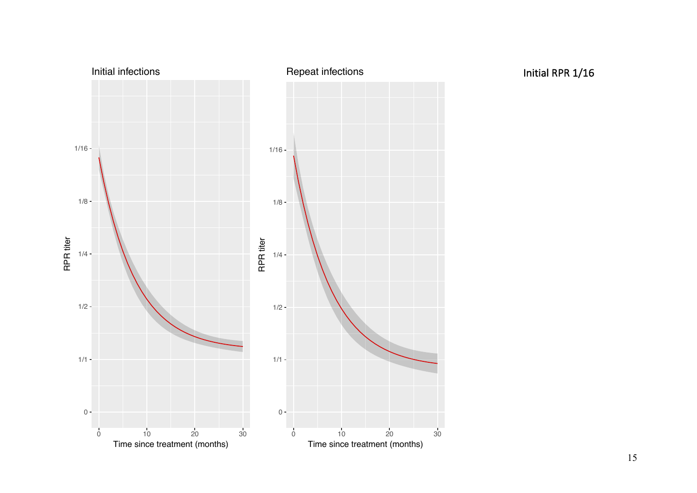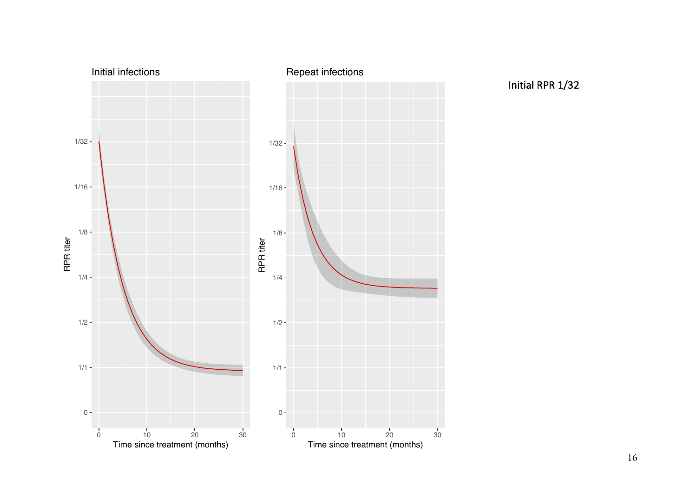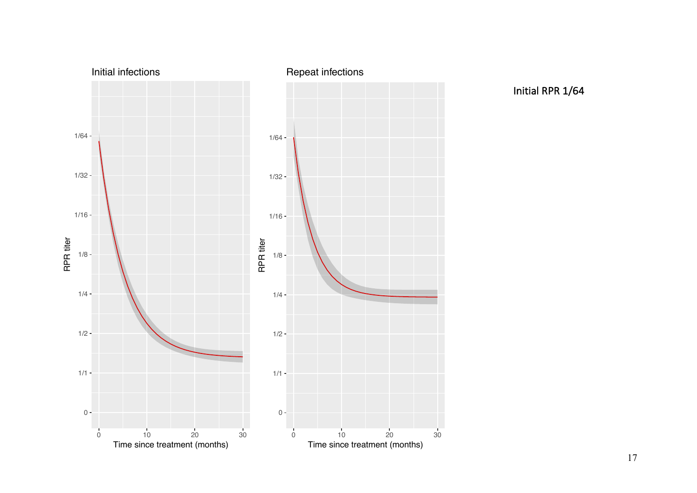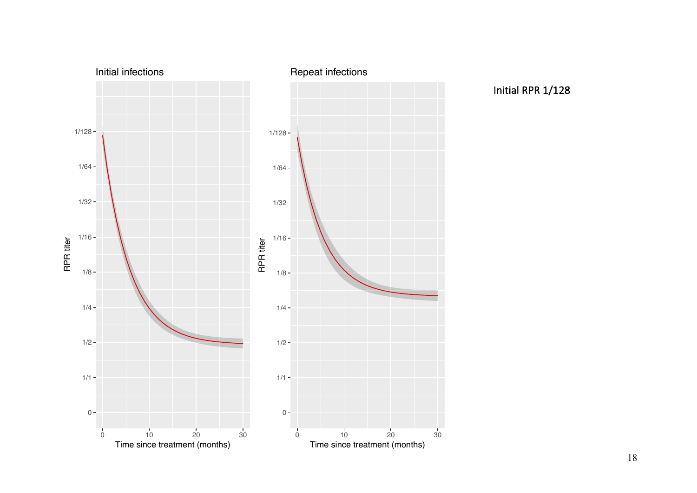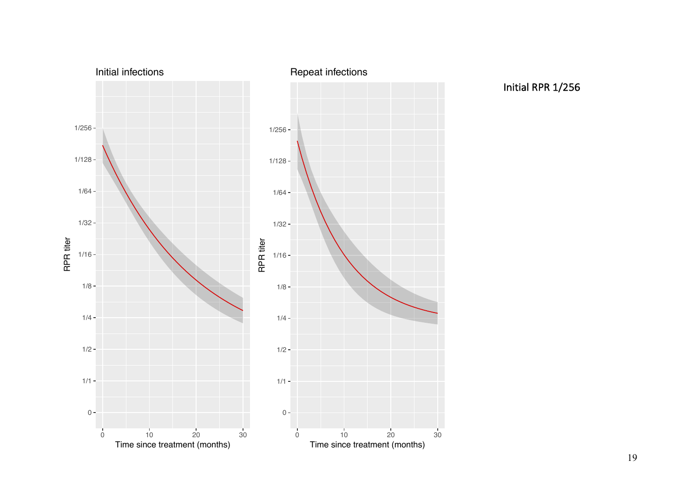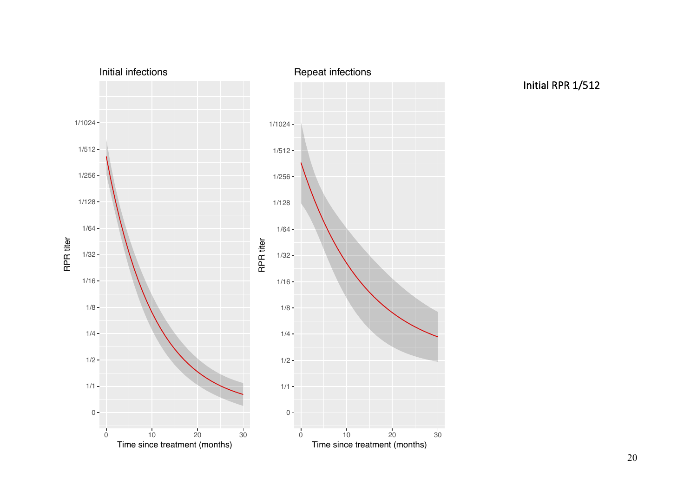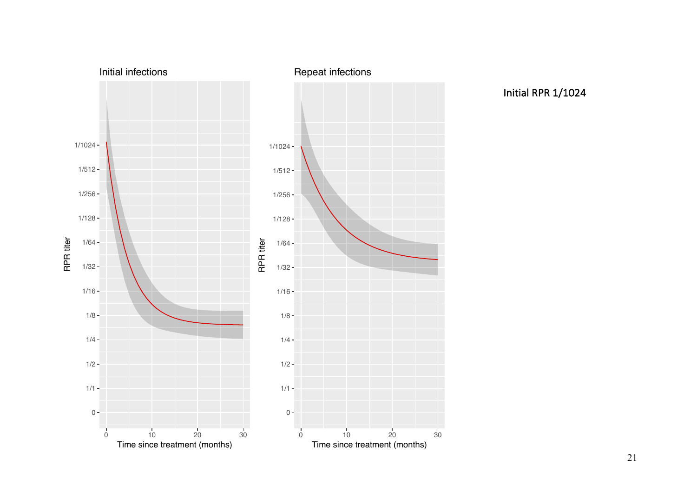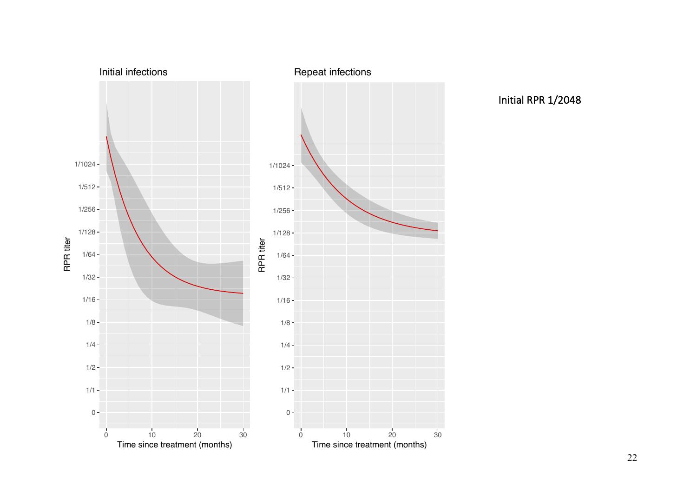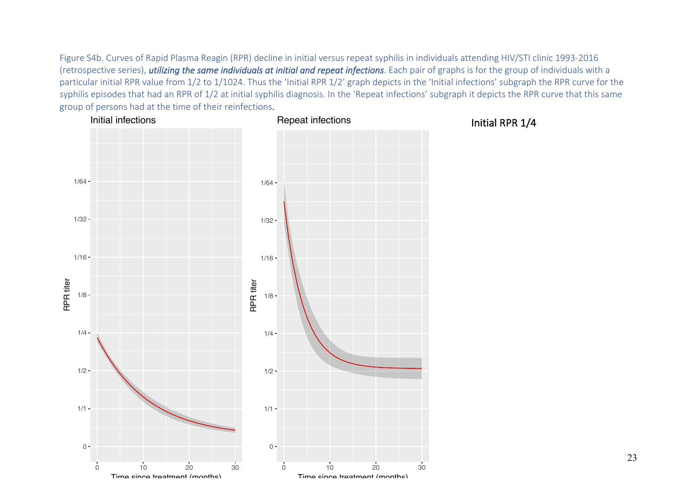Figure S4b. Curves of Rapid Plasma Reagin (RPR) decline in initial versus repeat syphilis in individuals attending HIV/STI clinic 1993-2016 (retrospective series), *utilizing the same individuals at initial and repeat infections*. Each pair of graphs is for the group of individuals with a particular initial RPR value from 1/2 to 1/1024. Thus the 'Initial RPR 1/2' graph depicts in the 'Initial infections' subgraph the RPR curve for the syphilis episodes that had an RPR of 1/2 at initial syphilis diagnosis. In the 'Repeat infections' subgraph it depicts the RPR curve that this same group of persons had at the time of their reinfections.

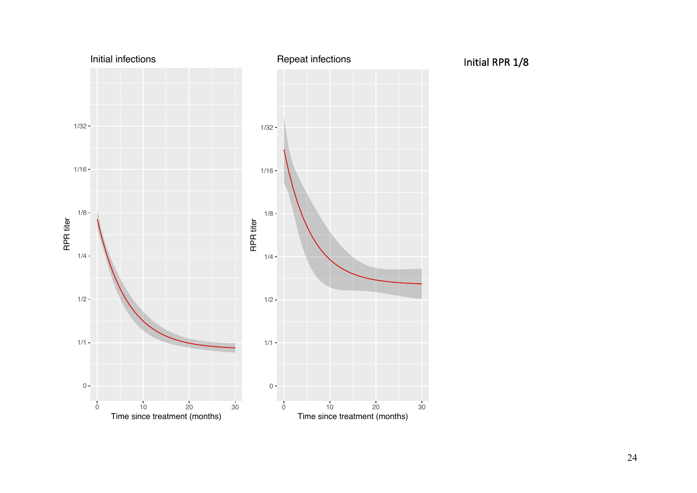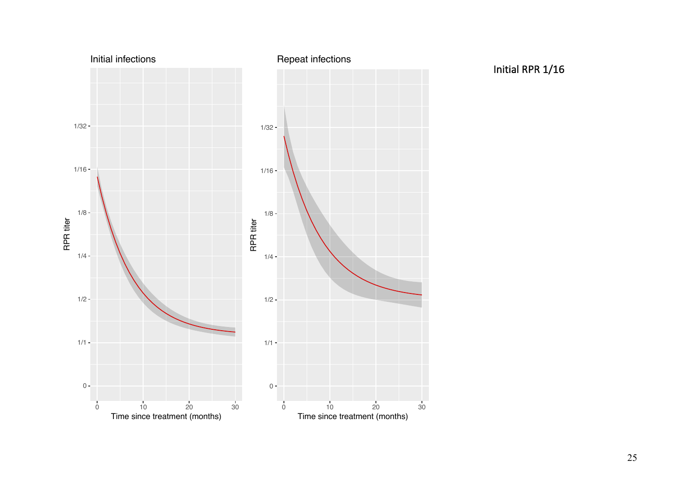

Initial RPR 1/16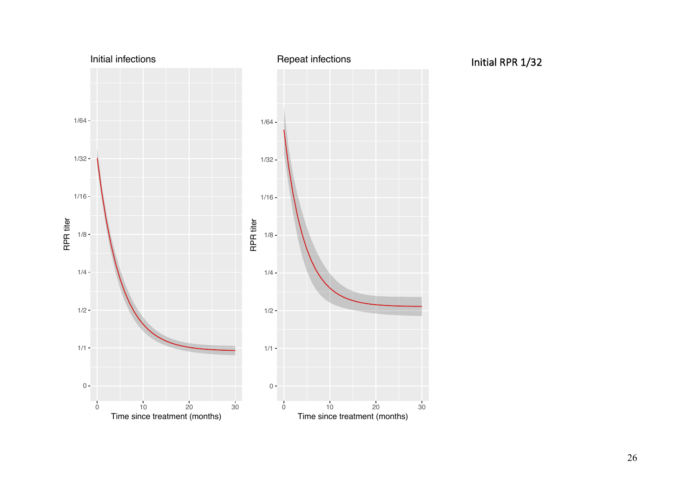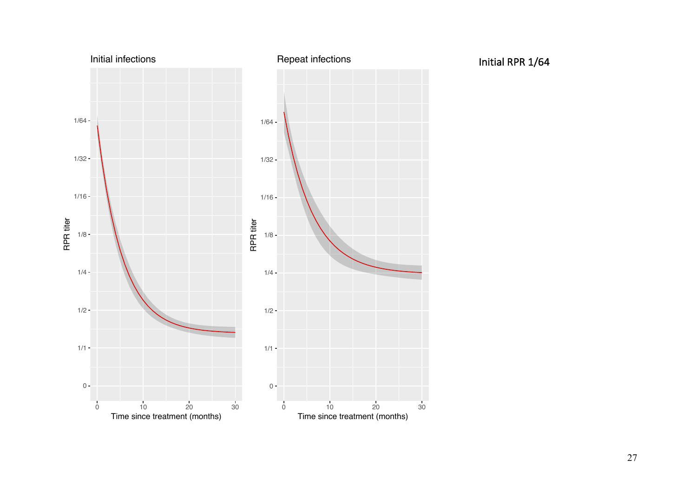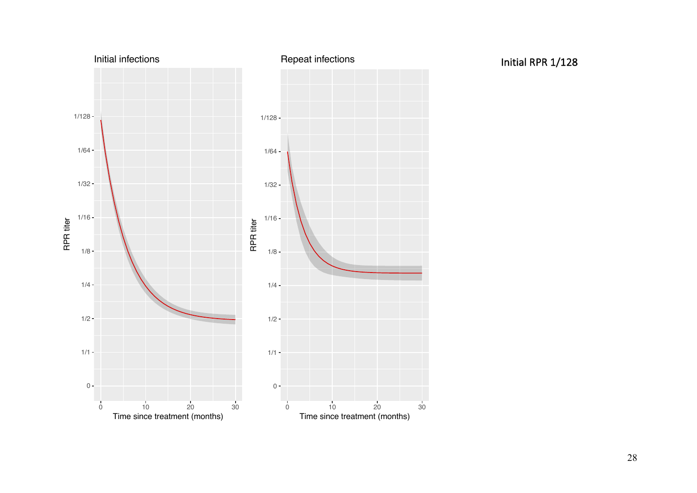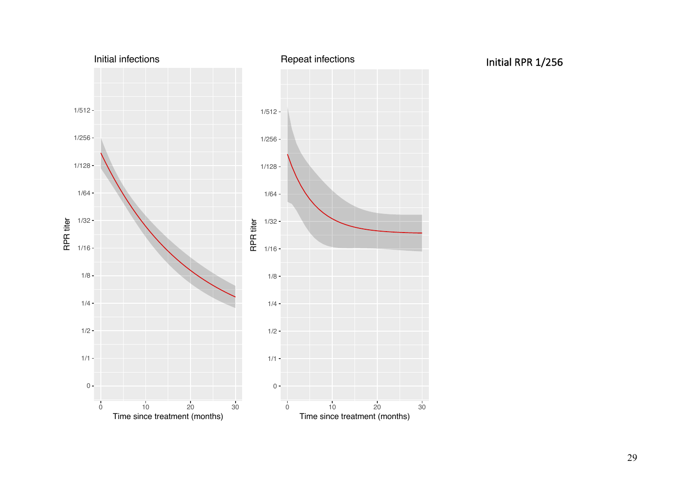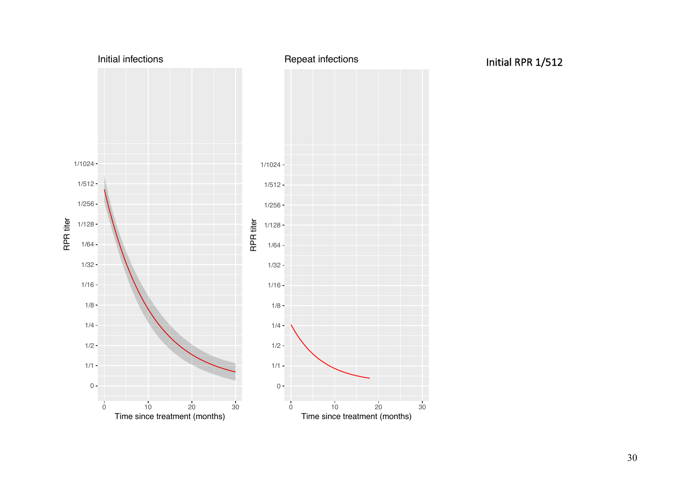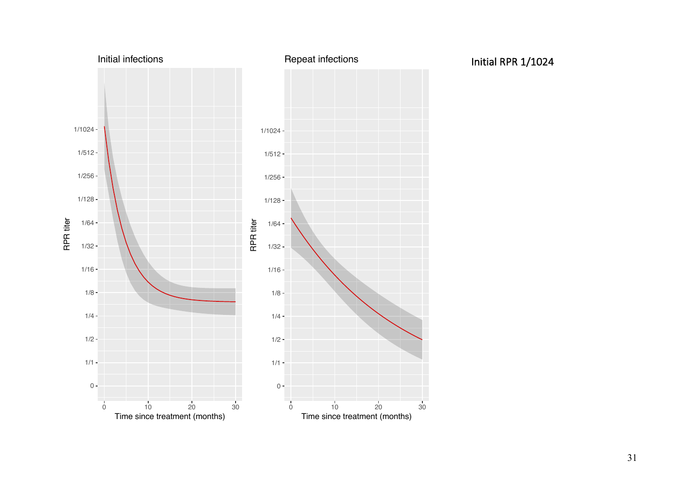